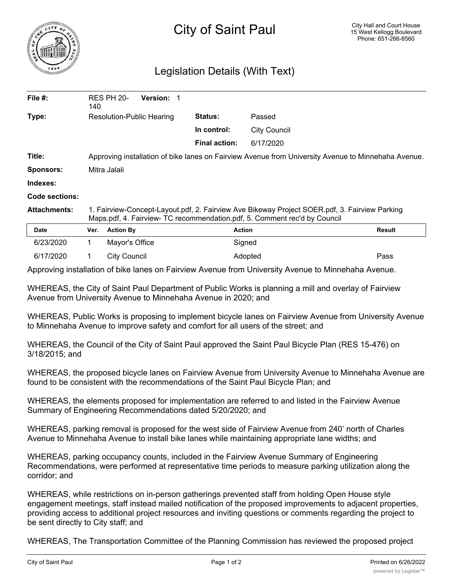

## Legislation Details (With Text)

| File #:             | 140                                                                                                                                                                        | <b>RES PH 20-</b> | Version: 1     |                      |                     |        |
|---------------------|----------------------------------------------------------------------------------------------------------------------------------------------------------------------------|-------------------|----------------|----------------------|---------------------|--------|
| Type:               | Resolution-Public Hearing                                                                                                                                                  |                   | <b>Status:</b> | Passed               |                     |        |
|                     |                                                                                                                                                                            |                   |                | In control:          | <b>City Council</b> |        |
|                     |                                                                                                                                                                            |                   |                | <b>Final action:</b> | 6/17/2020           |        |
| Title:              | Approving installation of bike lanes on Fairview Avenue from University Avenue to Minnehaha Avenue.                                                                        |                   |                |                      |                     |        |
| <b>Sponsors:</b>    | Mitra Jalali                                                                                                                                                               |                   |                |                      |                     |        |
| Indexes:            |                                                                                                                                                                            |                   |                |                      |                     |        |
| Code sections:      |                                                                                                                                                                            |                   |                |                      |                     |        |
| <b>Attachments:</b> | 1. Fairview-Concept-Layout.pdf, 2. Fairview Ave Bikeway Project SOER.pdf, 3. Fairview Parking<br>Maps.pdf, 4. Fairview- TC recommendation.pdf, 5. Comment rec'd by Council |                   |                |                      |                     |        |
| <b>Date</b>         | Ver.                                                                                                                                                                       | <b>Action By</b>  |                |                      | <b>Action</b>       | Result |
| 6/23/2020           |                                                                                                                                                                            | Mayor's Office    |                |                      | Signed              |        |
| 6/17/2020           |                                                                                                                                                                            | City Council      |                |                      | Adopted             | Pass   |

Approving installation of bike lanes on Fairview Avenue from University Avenue to Minnehaha Avenue.

WHEREAS, the City of Saint Paul Department of Public Works is planning a mill and overlay of Fairview Avenue from University Avenue to Minnehaha Avenue in 2020; and

WHEREAS, Public Works is proposing to implement bicycle lanes on Fairview Avenue from University Avenue to Minnehaha Avenue to improve safety and comfort for all users of the street; and

WHEREAS, the Council of the City of Saint Paul approved the Saint Paul Bicycle Plan (RES 15-476) on 3/18/2015; and

WHEREAS, the proposed bicycle lanes on Fairview Avenue from University Avenue to Minnehaha Avenue are found to be consistent with the recommendations of the Saint Paul Bicycle Plan; and

WHEREAS, the elements proposed for implementation are referred to and listed in the Fairview Avenue Summary of Engineering Recommendations dated 5/20/2020; and

WHEREAS, parking removal is proposed for the west side of Fairview Avenue from 240' north of Charles Avenue to Minnehaha Avenue to install bike lanes while maintaining appropriate lane widths; and

WHEREAS, parking occupancy counts, included in the Fairview Avenue Summary of Engineering Recommendations, were performed at representative time periods to measure parking utilization along the corridor; and

WHEREAS, while restrictions on in-person gatherings prevented staff from holding Open House style engagement meetings, staff instead mailed notification of the proposed improvements to adjacent properties, providing access to additional project resources and inviting questions or comments regarding the project to be sent directly to City staff; and

WHEREAS, The Transportation Committee of the Planning Commission has reviewed the proposed project